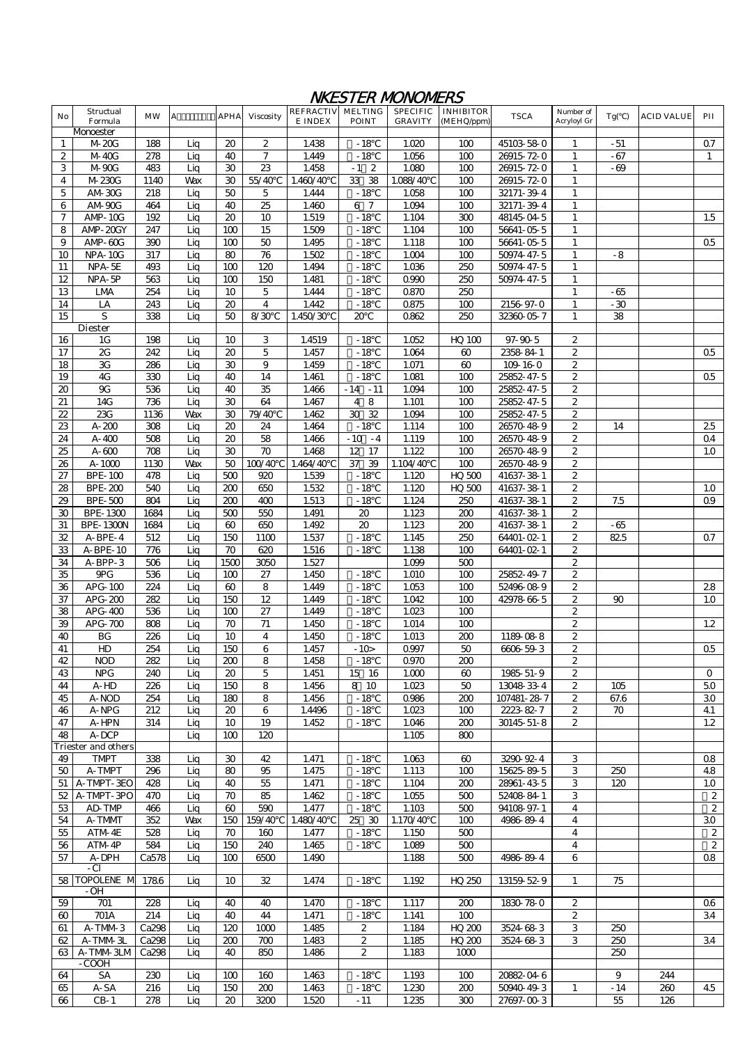## NKESTER MONOMERS

| No             | Structual<br>Formula       | <b>MW</b> | $\mathbf{A}$ | <b>APHA</b> | <b>Viscosity</b> | REFRACTIV MELTING<br>E INDEX | <b>POINT</b>           | <b>SPECIFIC</b><br><b>GRAVITY</b> | <b>INHIBITOR</b><br>(MEHQ/ppm) | <b>TSCA</b>   | Number of<br>Acryloyl Gr | Tg( ) | <b>ACID VALUE</b> | PII            |
|----------------|----------------------------|-----------|--------------|-------------|------------------|------------------------------|------------------------|-----------------------------------|--------------------------------|---------------|--------------------------|-------|-------------------|----------------|
|                | Monoester                  |           |              |             |                  |                              |                        |                                   |                                |               |                          |       |                   |                |
| 1              | M-20G                      | 188       | Lig          | 20          | 2                | 1.438                        | $-18$                  | 1.020                             | 100                            | 45103-58-0    | 1                        | - 51  |                   | Q7             |
| 2              | M-40G                      | 278       | Lig          | 40          | 7                | 1.449                        | $-18$                  | 1.056                             | 100                            | 26915-72-0    |                          | $-67$ |                   | $\mathbf{1}$   |
| 3              | M-90G                      | 483       | Liq          | 30          | 23               | 1.458                        | $-1$<br>$\overline{2}$ | 1.080                             | 100                            | 26915-72-0    |                          | - 69  |                   |                |
| 4              | M-230G                     | 1140      | <b>Wax</b>   | 30          | 55/40            | 1.460'40                     | 33<br>38               | 1.088/40                          | 100                            | 26915-72-0    | 1                        |       |                   |                |
| 5              | AM-30G                     | 218       | Lig          | 50          | 5                | 1.444                        | $-18$                  | 1.058                             | 100                            | 32171-39-4    |                          |       |                   |                |
| 6              | AM-90G                     | 464       | Liq          | 40          | 25               | 1.460                        | 6 7                    | 1.094                             | 100                            | 32171-39-4    | 1<br>$\mathbf{1}$        |       |                   |                |
| 7              | AMP-10G                    | 192       | Lig          | 20          | 10               | 1.519                        | $-18$                  | 1.104                             | 300                            | 48145-04-5    | 1                        |       |                   | 1.5            |
| 8              | AMP-20GY                   | 247       | Lig          | 100         | 15               | 1.509                        | $-18$                  | 1.104                             | 100                            | 56641-05-5    | 1                        |       |                   |                |
| 9              | AMP-60G                    | 390       | Lig          | 100         | 50               | 1.495                        | $-18$                  | 1.118                             | 100                            | 56641-05-5    | 1                        |       |                   | Q <sub>5</sub> |
| 10             | <b>NPA-10G</b>             | 317       | Lig          | 80          | 76               | 1.502                        | $-18$                  | 1.004                             | 100                            | 50974-47-5    | 1                        | $-8$  |                   |                |
| 11             | NPA-5E                     | 493       | Lig          | 100         | 120              | 1.494                        | $-18$                  | 1.036                             | 250                            | 50974-47-5    | 1                        |       |                   |                |
| 12             | NPA-5P                     | 563       | Liq          | 100         | 150              | 1.481                        | $-18$                  | 0990                              | 250                            | 50974-47-5    | $\mathbf{1}$             |       |                   |                |
| 13             | LMA                        | 254       | Lig          | 10          | 5                | 1.444                        | $-18$                  | 0870                              | 250                            |               | 1                        | -65   |                   |                |
|                | LA                         | 243       | Lig          | 20          | $\overline{4}$   | 1.442                        | $-18$                  | Q875                              | 100                            | 2156-97-0     | $\mathbf{1}$             | $-30$ |                   |                |
| 14<br>15       | S                          |           |              |             |                  |                              |                        |                                   |                                |               |                          |       |                   |                |
|                |                            | 338       | Liq          | 50          | 8/30             | 1.450'30                     | $\infty$               | 0862                              | 250                            | 32360-05-7    | $\mathbf{1}$             | 38    |                   |                |
|                | <b>Diester</b>             |           |              |             |                  |                              |                        |                                   |                                | $97 - 90 - 5$ |                          |       |                   |                |
| 16             | 1G                         | 198       | Liq          | 10          | 3                | 1.4519                       | $-18$                  | 1.052                             | $HO$ 100                       |               | 2                        |       |                   |                |
| 17             | $\overline{\mathbf{z}}$    | 242       | Lig          | 20          | 5                | 1.457                        | $-18$                  | 1.064                             | 60                             | 2358-84-1     | $\mathbf 2$              |       |                   | Q <sub>5</sub> |
| 18             | 3G                         | 286       | Liq          | 30          | 9                | 1.459                        | $-18$                  | 1.071                             | $\pmb{\omega}$                 | 109-16-0      | 2                        |       |                   |                |
| 19             | 4G                         | 330       | Liq          | 40          | 14               | 1.461                        | $-18$                  | 1.081                             | 100                            | 25852-47-5    | $\overline{2}$           |       |                   | $\Omega5$      |
| 20             | <b>9G</b>                  | 536       | Lig          | 40          | 35               | 1.466                        | $-14$<br>$-11$         | 1.094                             | 100                            | 25852-47-5    | 2                        |       |                   |                |
| 21             | 14G                        | 736       | Lig          | 30          | 64               | 1.467                        | 8<br>4                 | 1.101                             | 100                            | 25852-47-5    | 2                        |       |                   |                |
| $\overline{2}$ | 23G                        | 1136      | Wax          | 30          | 79/40            | 1.462                        | 32<br>30               | 1.094                             | 100                            | 25852-47-5    | $\overline{2}$           |       |                   |                |
| 23             | $A - 200$                  | 308       | Lig          | 20          | 24               | 1.464                        | $-18$                  | 1.114                             | 100                            | 26570-48-9    | 2                        | 14    |                   | 25             |
| 24             | $A - 400$                  | 508       | Liq          | 20          | 58               | 1.466                        | $-10 - 4$              | 1.119                             | 100                            | 26570-48-9    | 2                        |       |                   | $\mathsf{Q}4$  |
| 25             | $A - 600$                  | 708       | Liq          | 30          | 70               | 1.468                        | 12<br>17               | 1.122                             | 100                            | 26570-48-9    | $\overline{2}$           |       |                   | 1.0            |
| 26             | $A-1000$                   | 1130      | <b>Wax</b>   | 50          | 100/40           | 1.464/40                     | 37<br>39               | 1.104/40                          | 100                            | 26570-48-9    | 2                        |       |                   |                |
| 27             | BPE-100                    | 478       | Liq          | 500         | 920              | 1.539                        | $-18$                  | 1.120                             | <b>HQ 500</b>                  | 41637-38-1    | $\overline{2}$           |       |                   |                |
| 28             | <b>BPE-200</b>             | 540       | Lig          | 200         | 650              | 1.532                        | $-18$                  | 1.120                             | <b>HQ 500</b>                  | 41637-38-1    | 2                        |       |                   | 1.0            |
| 29             | <b>BPE-500</b>             | 804       | Lig          | 200         | 400              | 1.513                        | $-18$                  | 1.124                             | 250                            | 41637-38-1    | 2                        | 7.5   |                   | 09             |
| 30             | BPE-1300                   | 1684      | Lig          | 500         | 550              | 1.491                        | $20\,$                 | 1.123                             | 200                            | 41637-38-1    | $\overline{2}$           |       |                   |                |
| 31             | <b>BPE-1300N</b>           | 1684      | Liq          | $\omega$    | 650              | 1.492                        | 20                     | 1.123                             | 200                            | 41637-38-1    | 2                        | -65   |                   |                |
| 32             | A-BPE-4                    | 512       | Lig          | 150         | 1100             | 1.537                        | $-18$                  | 1.145                             | 250                            | 64401-02-1    | 2                        | 825   |                   | Q7             |
| 33             | A-BPE-10                   | 776       | Lig          | 70          | 620              |                              | $-18$                  | 1.138                             | 100                            | 64401-02-1    | $\overline{2}$           |       |                   |                |
|                |                            |           |              |             |                  | 1.516                        |                        |                                   |                                |               |                          |       |                   |                |
| 34             | A-BPP-3                    | 506       | Liq          | 1500        | 3050             | 1.527                        |                        | 1.099                             | 500                            |               | $\overline{c}$           |       |                   |                |
| 35             | <b>PG</b>                  | 536       | Lig          | 100         | 27               | 1.450                        | $-18$                  | 1.010                             | 100                            | 25852-49-7    | 2                        |       |                   |                |
| 36             | APG-100                    | 224       | Lig          | 60          | 8                | 1.449                        | $-18$                  | 1.053                             | 100                            | 52496-08-9    | 2                        |       |                   | 28             |
| 37             | APG-200                    | 282       | Liq          | 150         | 12               | 1.449                        | $-18$                  | 1.042                             | 100                            | 42978-66-5    | 2                        | 90    |                   | 1.0            |
| 38             | APG-400                    | 536       | Lig          | 100         | $\overline{27}$  | 1.449                        | $-18$                  | 1.023                             | 100                            |               | 2                        |       |                   |                |
| 39             | APG-700                    | 808       | Lig          | 70          | 71               | 1.450                        | $-18$                  | 1.014                             | 100                            |               | $\overline{c}$           |       |                   | $1.2\,$        |
| 40             | BG                         | 226       | Liq          | 10          | 4                | 1.450                        | $-18$                  | 1.013                             | 200                            | 1189-08-8     | 2                        |       |                   |                |
| 41             | HD                         | 254       | Lig          | 150         | 6                | 1.457                        | $-10$                  | 0997                              | 50                             | 6606-59-3     | 2                        |       |                   | $05\,$         |
| 42             | <b>NOD</b>                 | 282       | Lıq          | 2W          | 8                | 1.458                        | -18                    | <u>09/0</u>                       | ZΨ                             |               | 2                        |       |                   |                |
| 43             | <b>NPG</b>                 | 240       | Liq          | 20          | 5                | 1.451                        | 15 16                  | 1.000                             | 60                             | 1985-51-9     | $\overline{2}$           |       |                   | 0              |
| 44             | A-HD                       | 226       | Liq          | 150         | 8                | 1.456                        | 8 10                   | 1.023                             | 50                             | 13048-33-4    | 2                        | 105   |                   | 50             |
| 45             | A-NOD                      | 254       | Liq          | 180         | 8                | 1.456                        | $-18$                  | 0986                              | 200                            | 107481-28-7   | 2                        | 67.6  |                   | 30             |
| 46             | A-NPG                      | 212       | Liq          | 20          | 6                | 1.4496                       | $-18$                  | 1.023                             | 100                            | 2223-82-7     | 2                        | 70    |                   | 41             |
| 47             | A-HPN                      | 314       | Lig          | 10          | 19               | 1.452                        | $-18$                  | 1.046                             | 200                            | 30145-51-8    | 2                        |       |                   | 1.2            |
| 48             | A-DCP                      |           | Liq          | 100         | 120              |                              |                        | 1.105                             | ഞ                              |               |                          |       |                   |                |
|                | <b>Triester and others</b> |           |              |             |                  |                              |                        |                                   |                                |               |                          |       |                   |                |
| 49             | <b>TMPT</b>                | 338       | Liq          | 30          | 42               | 1.471                        | $-18$                  | 1.063                             | 60                             | 3290-92-4     | 3                        |       |                   | 08             |
| 50             | A-TMPT                     | 296       | Lig          | 80          | 95               | 1.475                        | $-18$                  | 1.113                             | 100                            | 15625-89-5    | 3                        | 250   |                   | 48             |
| 51             | A-TMPT-3EO                 | 428       | Liq          | 40          | 55               | 1.471                        | $-18$                  | 1.104                             | 200                            | 28961-43-5    | 3                        | 120   |                   | 1.0            |
| 52             | A-TMPT-3PO                 | 470       | Liq          | 70          | 85               | 1.462                        | $-18$                  | 1.055                             | 500                            | 52408-84-1    | 3                        |       |                   | $\overline{2}$ |
| 53             | AD-TMP                     | 466       | Liq          | 60          | 590              | 1.477                        | $-18$                  | 1.103                             | 500                            | 94108-97-1    | 4                        |       |                   | $\overline{2}$ |
| 54             | A-TMMT                     | 352       | Wax          | 150         | 159/40           | 1.480/40                     | 25 30                  | 1.170/40                          | 100                            | 4986-89-4     | 4                        |       |                   | 30             |
| 55             | ATM-4E                     | 528       | Liq          | 70          | 160              | 1.477                        | - 18                   | 1.150                             | 500                            |               | 4                        |       |                   | $\overline{2}$ |
|                |                            |           |              |             |                  |                              |                        |                                   |                                |               | $\overline{4}$           |       |                   |                |
| 56             | ATM-4P                     | 584       | Liq          | 150         | 240              | 1.465                        | $-18$                  | 1.089                             | 500                            |               |                          |       |                   | $\overline{2}$ |
| 57             | A-DPH                      | Ca578     | Lig          | 100         | 6500             | 1.490                        |                        | 1.188                             | 500                            | 4986-89-4     | 6                        |       |                   | 08             |
|                | -CI                        |           |              |             |                  |                              |                        |                                   |                                |               |                          |       |                   |                |
|                | 58 TOPOLENE M              | 1786      | Liq          | 10          | 32               | 1.474                        | $-18$                  | 1.192                             | HQ 250                         | 13159-52-9    | $\mathbf{1}$             | 75    |                   |                |
|                | -OH                        |           |              |             |                  |                              |                        |                                   |                                |               |                          |       |                   |                |
| 59             | 701                        | 228       | Liq          | 40          | 40               | 1.470                        | $-18$                  | 1.117                             | 200                            | 1830-78-0     | $\overline{2}$           |       |                   | α6             |
| 60             | 701A                       | 214       | Liq          | 40          | 44               | 1.471                        | $-18$                  | 1.141                             | 100                            |               | 2                        |       |                   | 34             |
| 61             | A-TMM-3                    | Ca298     | Liq          | 120         | 1000             | 1.485                        | $\overline{c}$         | 1.184                             | HQ 200                         | 3524-68-3     | 3                        | 250   |                   |                |
| 62             | A-TMM-3L                   | Ca298     | Liq          | 200         | 700              | 1.483                        | $\overline{2}$         | 1.185                             | HQ 200                         | 3524-68-3     | 3                        | 250   |                   | 34             |
| 63             | A-TMM-3LM                  | Ca298     | Liq          | 40          | 850              | 1.486                        | 2                      | 1.183                             | 1000                           |               |                          | 250   |                   |                |
|                | $-COOH$                    |           |              |             |                  |                              |                        |                                   |                                |               |                          |       |                   |                |
| 64             | SA                         | 230       | Liq          | 100         | 160              | 1.463                        | $-18$                  | 1.193                             | 100                            | 2082-04-6     |                          | 9     | 244               |                |
| 65             | A-SA                       | 216       | Liq          | 150         | 200              | 1.463                        | - 18                   | 1.230                             | 200                            | 50940-49-3    | 1                        | - 14  | 260               | 45             |
| 66             | $CB-1$                     | 278       | Liq          | 20          | 3200             | 1.520                        | $-11$                  | 1.235                             | 300                            | 27697-00-3    |                          | 55    | 126               |                |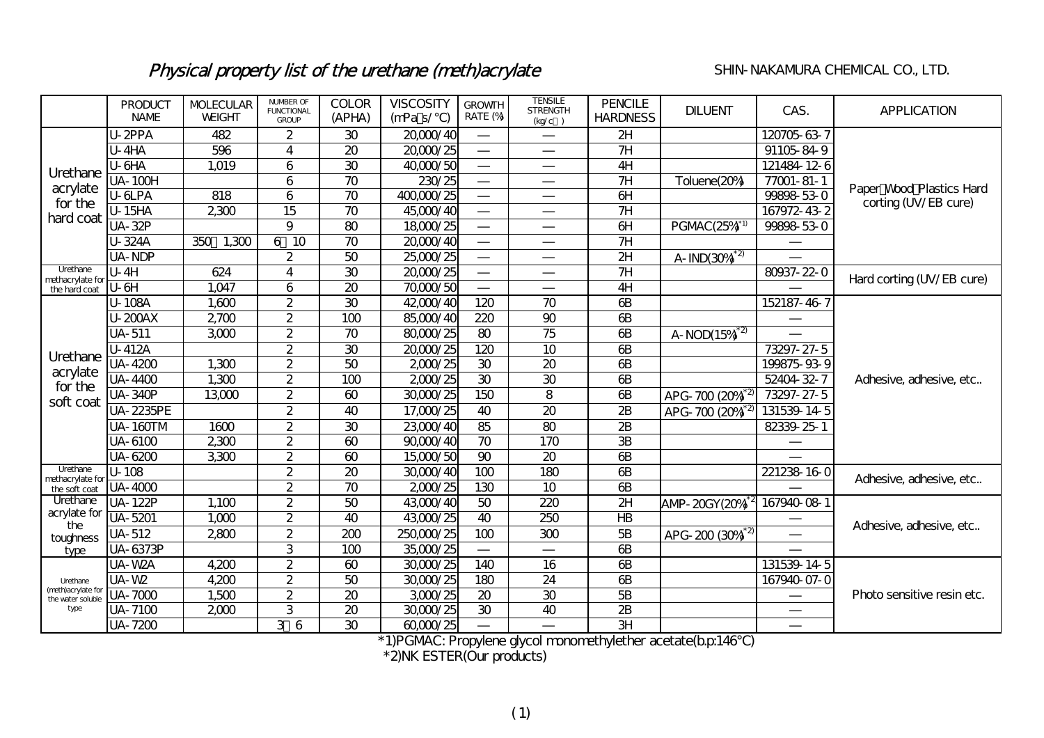## Physical property list of the urethane (meth)acrylate SHIN-NAKAMURA CHEMICAL CO., LTD.

|                                         | <b>PRODUCT</b><br><b>NAME</b> | <b>MOLECULAR</b><br><b>WEIGHT</b> | <b>NUMBER OF</b><br><b>FUNCTIONAL</b><br><b>GROUP</b> | <b>COLOR</b><br>(APHA) | <b>VISCOSITY</b><br>(mPa s/ | <b>GROWTH</b><br>RATE (%) | <b>TENSILE</b><br><b>STRENGTH</b><br>(kq/c) | <b>PENCILE</b><br><b>HARDNESS</b> | <b>DILUENT</b>                 | CAS.             | <b>APPLICATION</b>         |  |  |
|-----------------------------------------|-------------------------------|-----------------------------------|-------------------------------------------------------|------------------------|-----------------------------|---------------------------|---------------------------------------------|-----------------------------------|--------------------------------|------------------|----------------------------|--|--|
|                                         | U-2PPA<br>482                 |                                   | $\overline{2}$                                        | 30                     | 20,000/40                   |                           |                                             | 2H                                |                                | 120705-63-7      |                            |  |  |
|                                         | <b>U-4HA</b>                  | 596                               | 4                                                     | 20                     | 20,000/25                   |                           |                                             | 7H                                |                                | 91105-84-9       |                            |  |  |
| Urethane                                | U-6HA                         | 1,019                             | 6                                                     | 30                     | 40,000/50                   |                           |                                             | 4H                                |                                | 121484-12-6      |                            |  |  |
| acrylate                                | UA-100H                       |                                   | 6                                                     | 70                     | 230/25                      |                           |                                             | 7H                                | Toluene(20%)                   | $77001 - 81 - 1$ | Paper Wood Plastics Hard   |  |  |
| for the                                 | U-6LPA                        | 818                               | 6                                                     | 70                     | 400,000/25                  |                           |                                             | H                                 |                                | 99898-53-0       | corting (UV/EB cure)       |  |  |
| hard coat                               | <b>U-15HA</b>                 | 2300                              | 15                                                    | 70                     | 45,000/40                   |                           |                                             | 7H                                |                                | 167972-43-2      |                            |  |  |
|                                         | UA-32P                        |                                   | 9                                                     | 80                     | 18000/25                    |                           |                                             | $\overline{d}$                    | PGMAC(25%)*1                   | 99898-53-0       |                            |  |  |
|                                         | U-324A                        | 1,300<br>350                      | 6 10                                                  | 70                     | 20,000/40                   |                           |                                             | 7H                                |                                |                  |                            |  |  |
|                                         | UA-NDP                        |                                   | $\overline{2}$                                        | 50                     | 25,000/25                   |                           |                                             | 2H                                | $A$ -IND $(30\frac{a^{2}}{2})$ |                  |                            |  |  |
| Urethane<br>methacrylate for            | $U - 4H$                      | 624                               | 4                                                     | 30                     | 20,000/25                   |                           |                                             | 7H                                |                                | 80937-22-0       | Hard corting (UV/EB cure)  |  |  |
| the hard coat                           | U-6H                          | 1,047                             | 6                                                     | 20                     | 70,000/50                   |                           |                                             | 4H                                |                                |                  |                            |  |  |
|                                         | U-108A                        | 1,600                             | $\overline{2}$                                        | $\overline{30}$        | 42000/40                    | 120                       | $\overline{70}$                             | $\overline{6B}$                   |                                | 152187-46-7      |                            |  |  |
|                                         | U-200AX                       | 2700                              | $\overline{2}$                                        | 100                    | 85,000/40                   | 220                       | 90                                          | 6B                                |                                |                  | Adhesive, adhesive, etc    |  |  |
|                                         | <b>UA-511</b>                 | 3000                              | $\overline{2}$                                        | 70                     | 80,000/25                   | 80                        | 75                                          | $\overline{6}B$                   | $A-NOD(15%)^2$                 |                  |                            |  |  |
| Urethane                                | U-412A                        |                                   | $\overline{2}$                                        | 30                     | 20,000/25                   | 120                       | 10                                          | $\overline{a}$                    |                                | 73297-27-5       |                            |  |  |
| acrylate                                | UA-4200                       | 1,300                             | $\overline{2}$                                        | 50                     | 2000/25                     | 30                        | 20                                          | $\bigoplus$                       |                                | 199875-93-9      |                            |  |  |
| for the                                 | <b>UA-4400</b>                | 1,300                             | $\overline{2}$                                        | 100                    | 2000/25                     | 30                        | 30                                          | $\epsilon$ B                      |                                | 52404-32-7       |                            |  |  |
| soft coat                               | <b>UA-340P</b>                | 13,000                            | $\overline{2}$                                        | 60                     | 30,000/25                   | 150                       | 8                                           | $\epsilon$ B                      | APG-700 (20%)                  | 73297-27-5       |                            |  |  |
|                                         | <b>UA-2235PE</b>              |                                   | $\overline{2}$                                        | 40                     | 17,000/25                   | 40                        | 20                                          | 2B                                | APG-700 (20%)                  | 131539-14-5      |                            |  |  |
|                                         | <b>UA-160TM</b>               | 1600                              | $\overline{2}$                                        | 30                     | 23,000/40                   | 85                        | 80                                          | 2B                                |                                | 82339-25-1       |                            |  |  |
|                                         | UA-6100                       | 2300                              | $\overline{2}$                                        | 60                     | 90,000/40                   | 70                        | 170                                         | <b>3B</b>                         |                                |                  |                            |  |  |
|                                         | UA-6200                       | 3,300                             | $\overline{2}$                                        | 60                     | 15,000/50                   | $\overline{90}$           | 20                                          | $\overline{a}$                    |                                |                  |                            |  |  |
| Urethane<br>methacrylate for            | $U-108$                       |                                   | $\overline{2}$                                        | $\infty$               | 30,000/40                   | 100                       | 180                                         | $\bigoplus$                       |                                | 221238-16-0      | Adhesive, adhesive, etc    |  |  |
| the soft coat                           | <b>UA-4000</b>                |                                   | $\overline{2}$                                        | 70                     | 2000/25                     | 130                       | 10                                          | $\overline{\text{d}}$             |                                |                  |                            |  |  |
| Urethane                                | <b>UA-122P</b>                | 1,100                             | $\overline{c}$                                        | 50                     | 43,000/40                   | 50                        | 220                                         | 2H                                | AMP-20GY(20%)                  | 167940-08-1      |                            |  |  |
| acrylate for<br>the                     | UA-5201                       | 1,000                             | $\overline{2}$                                        | 40                     | 43,000/25                   | 40                        | 250                                         | H <sub>B</sub>                    |                                |                  | Adhesive, adhesive, etc    |  |  |
| toughness                               | UA-512                        | 2800                              | $\overline{2}$                                        | 200                    | 250,000/25                  | 100                       | 300                                         | 5B                                | APG-200 (30%) <sup>*2</sup>    |                  |                            |  |  |
| type                                    | UA-6373P                      |                                   | 3                                                     | 100                    | 35,000/25                   |                           |                                             | $\overline{\text{}}$              |                                |                  |                            |  |  |
|                                         | UA-W2A                        | 4,200                             | $\overline{2}$                                        | $\omega$               | 30,000/25                   | 140                       | 16                                          | $\overline{6B}$                   |                                | 131539-14-5      |                            |  |  |
| Urethane                                | UA-W2                         | 4,200                             | $\overline{2}$                                        | 50                     | 30,000/25                   | 180                       | 24                                          | 6B                                |                                | 167940-07-0      | Photo sensitive resin etc. |  |  |
| (meth)acrylate for<br>the water soluble | UA-7000                       | 1,500                             | $\overline{2}$                                        | 20                     | 3,000/25                    | 20                        | 30                                          | 5B                                |                                |                  |                            |  |  |
| type                                    | UA-7100                       | 2000                              | 3                                                     | 20                     | 30,000/25                   | 30                        | 40                                          | $\mathbf{B}$                      |                                |                  |                            |  |  |
|                                         | UA-7200                       |                                   | 36                                                    | 30                     | 60,000/25                   |                           |                                             | 3H                                |                                |                  |                            |  |  |

\*1)PGMAC: Propylene glycol monomethylether acetate(b.p:146℃)

\*2)NK ESTER(Our products)